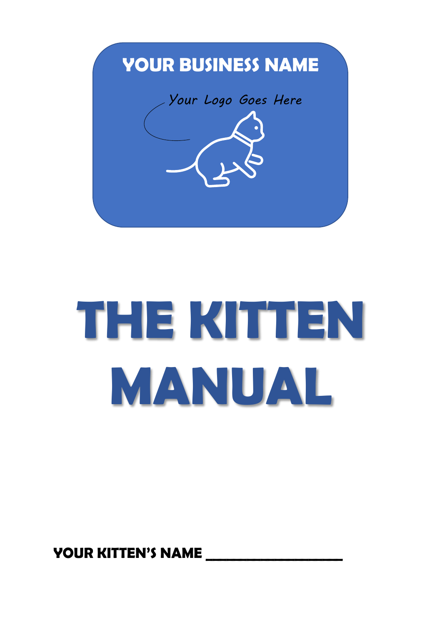

# **THE KITTEN MANUAL**

YOUR KITTEN'S NAME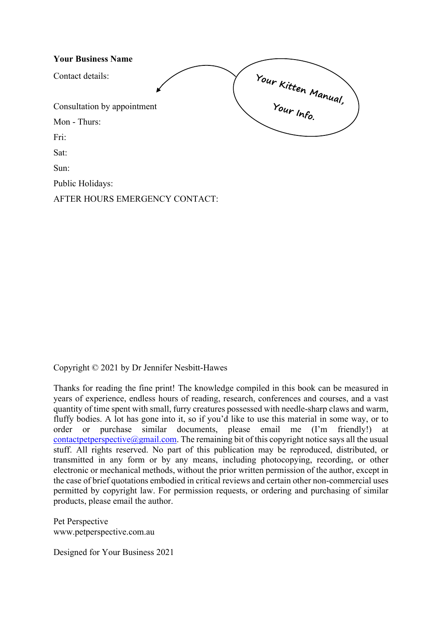| <b>Your Business Name</b>      |                     |
|--------------------------------|---------------------|
| Contact details:               | Your Kitten Manual, |
| Consultation by appointment    | Your Info.          |
| Mon - Thurs:                   |                     |
| Fri:                           |                     |
| Sat:                           |                     |
| Sun:                           |                     |
| Public Holidays:               |                     |
| AFTER HOURS EMERGENCY CONTACT: |                     |

Copyright © 2021 by Dr Jennifer Nesbitt-Hawes

Thanks for reading the fine print! The knowledge compiled in this book can be measured in years of experience, endless hours of reading, research, conferences and courses, and a vast quantity of time spent with small, furry creatures possessed with needle-sharp claws and warm, fluffy bodies. A lot has gone into it, so if you'd like to use this material in some way, or to order or purchase similar documents, please email me (I'm friendly!) at [contactpetperspective@gmail.com.](mailto:contactpetperspective@gmail.com) The remaining bit of this copyright notice says all the usual stuff. All rights reserved. No part of this publication may be reproduced, distributed, or transmitted in any form or by any means, including photocopying, recording, or other electronic or mechanical methods, without the prior written permission of the author, except in the case of brief quotations embodied in critical reviews and certain other non-commercial uses permitted by copyright law. For permission requests, or ordering and purchasing of similar products, please email the author.

Pet Perspective www.petperspective.com.au

Designed for Your Business 2021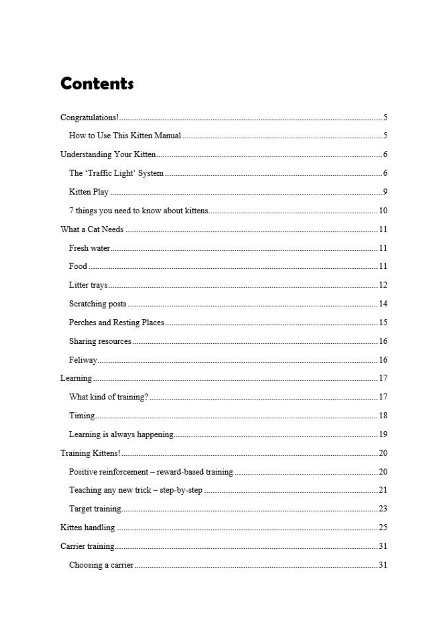# **Contents**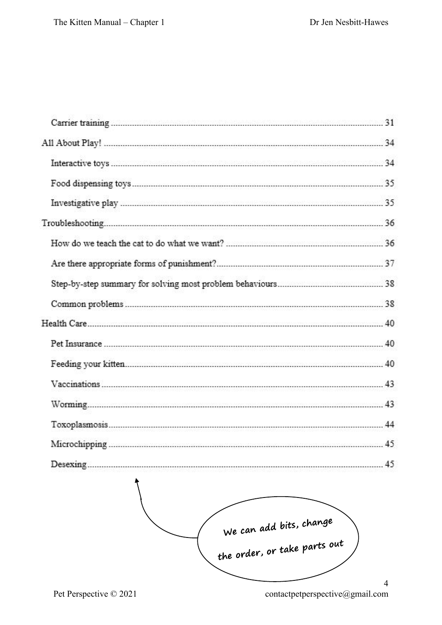$\overline{a}$ 

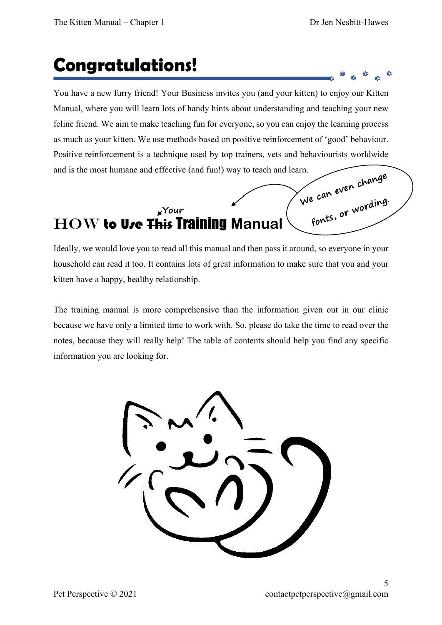e can even c.<br>fonts, or wording.

## **Congratulations!**

You have a new furry friend! Your Business invites you (and your kitten) to enjoy our Kitten Manual, where you will learn lots of handy hints about understanding and teaching your new feline friend. We aim to make teaching fun for everyone, so you can enjoy the learning process as much as your kitten. We use methods based on positive reinforcement of 'good' behaviour. Positive reinforcement is a technique used by top trainers, vets and behaviourists worldwide and is the most humane and effective (and fun!) way to teach and learn.

#### **Your**  How to Use **This** Training **Manual**

Ideally, we would love you to read all this manual and then pass it around, so everyone in your household can read it too. It contains lots of great information to make sure that you and your kitten have a happy, healthy relationship.

The training manual is more comprehensive than the information given out in our clinic because we have only a limited time to work with. So, please do take the time to read over the notes, because they will really help! The table of contents should help you find any specific information you are looking for.

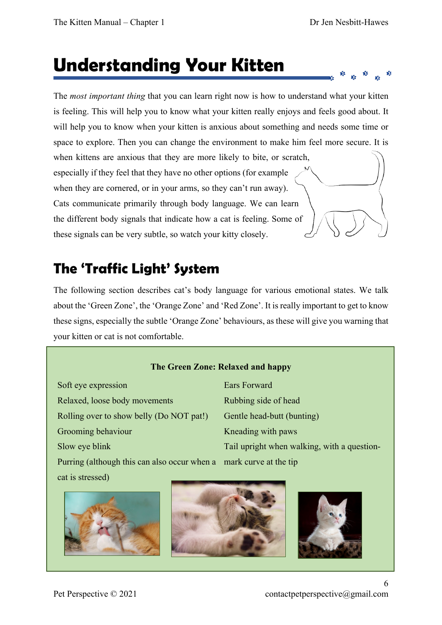ŵ

# **Understanding Your Kitten**

The *most important thing* that you can learn right now is how to understand what your kitten is feeling. This will help you to know what your kitten really enjoys and feels good about. It will help you to know when your kitten is anxious about something and needs some time or space to explore. Then you can change the environment to make him feel more secure. It is when kittens are anxious that they are more likely to bite, or scratch, especially if they feel that they have no other options (for example when they are cornered, or in your arms, so they can't run away). Cats communicate primarily through body language. We can learn the different body signals that indicate how a cat is feeling. Some of these signals can be very subtle, so watch your kitty closely.

## **The 'Traffic Light' System**

The following section describes cat's body language for various emotional states. We talk about the 'Green Zone', the 'Orange Zone' and 'Red Zone'. It is really important to get to know these signs, especially the subtle 'Orange Zone' behaviours, as these will give you warning that your kitten or cat is not comfortable.

#### **The Green Zone: Relaxed and happy**

Soft eye expression Relaxed, loose body movements Rolling over to show belly (Do NOT pat!) Grooming behaviour Slow eye blink Purring (although this can also occur when a mark curve at the tipcat is stressed)

Ears Forward Rubbing side of head Gentle head-butt (bunting) Kneading with paws Tail upright when walking, with a question-





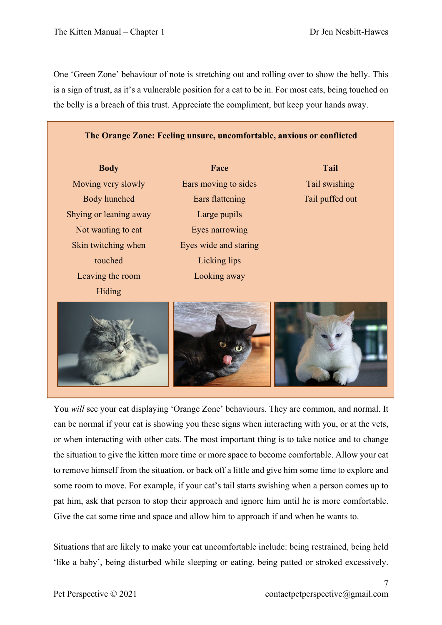One 'Green Zone' behaviour of note is stretching out and rolling over to show the belly. This is a sign of trust, as it's a vulnerable position for a cat to be in. For most cats, being touched on the belly is a breach of this trust. Appreciate the compliment, but keep your hands away.

#### **The Orange Zone: Feeling unsure, uncomfortable, anxious or conflicted**

Moving very slowly Body hunched Shying or leaning away Not wanting to eat Skin twitching when touched Leaving the room Hiding

**Body Face Tail** Ears moving to sides Ears flattening Large pupils Eyes narrowing Eyes wide and staring Licking lips Looking away

Tail swishing Tail puffed out



You *will* see your cat displaying 'Orange Zone' behaviours. They are common, and normal. It can be normal if your cat is showing you these signs when interacting with you, or at the vets, or when interacting with other cats. The most important thing is to take notice and to change the situation to give the kitten more time or more space to become comfortable. Allow your cat to remove himself from the situation, or back off a little and give him some time to explore and some room to move. For example, if your cat's tail starts swishing when a person comes up to pat him, ask that person to stop their approach and ignore him until he is more comfortable. Give the cat some time and space and allow him to approach if and when he wants to.

Situations that are likely to make your cat uncomfortable include: being restrained, being held 'like a baby', being disturbed while sleeping or eating, being patted or stroked excessively.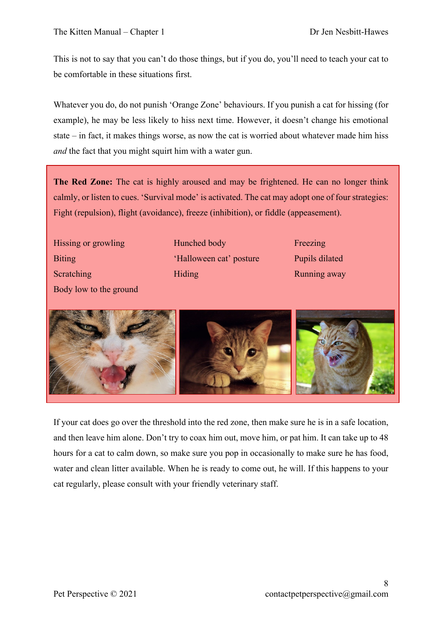This is not to say that you can't do those things, but if you do, you'll need to teach your cat to be comfortable in these situations first.

Whatever you do, do not punish 'Orange Zone' behaviours. If you punish a cat for hissing (for example), he may be less likely to hiss next time. However, it doesn't change his emotional state – in fact, it makes things worse, as now the cat is worried about whatever made him hiss *and* the fact that you might squirt him with a water gun.

**The Red Zone:** The cat is highly aroused and may be frightened. He can no longer think calmly, or listen to cues. 'Survival mode' is activated. The cat may adopt one of four strategies: Fight (repulsion), flight (avoidance), freeze (inhibition), or fiddle (appeasement).

Hissing or growling **Biting** Scratching Body low to the ground Hunched body 'Halloween cat' posture Hiding

Freezing Pupils dilated Running away



If your cat does go over the threshold into the red zone, then make sure he is in a safe location, and then leave him alone. Don't try to coax him out, move him, or pat him. It can take up to 48 hours for a cat to calm down, so make sure you pop in occasionally to make sure he has food, water and clean litter available. When he is ready to come out, he will. If this happens to your cat regularly, please consult with your friendly veterinary staff.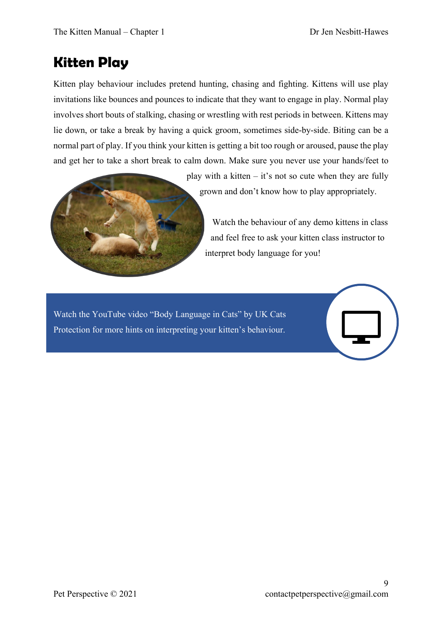### **Kitten Play**

Kitten play behaviour includes pretend hunting, chasing and fighting. Kittens will use play invitations like bounces and pounces to indicate that they want to engage in play. Normal play involves short bouts of stalking, chasing or wrestling with rest periods in between. Kittens may lie down, or take a break by having a quick groom, sometimes side-by-side. Biting can be a normal part of play. If you think your kitten is getting a bit too rough or aroused, pause the play and get her to take a short break to calm down. Make sure you never use your hands/feet to



play with a kitten  $-$  it's not so cute when they are fully grown and don't know how to play appropriately.

Watch the behaviour of any demo kittens in class and feel free to ask your kitten class instructor to interpret body language for you!

Watch the YouTube video "Body Language in Cats" by UK Cats Protection for more hints on interpreting your kitten's behaviour.